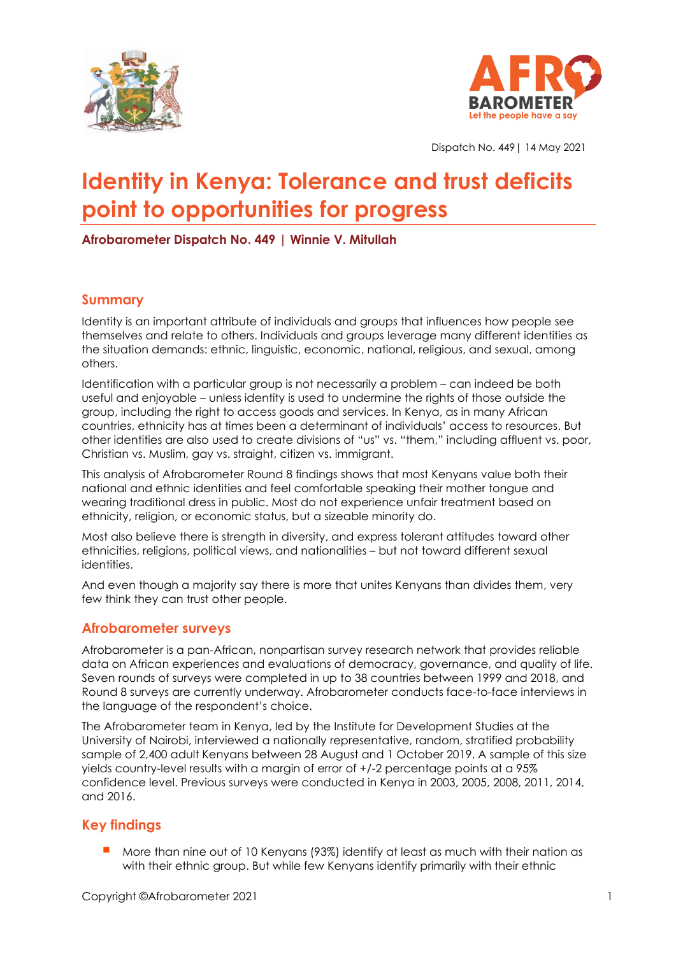



Dispatch No. 449| 14 May 2021

# **Identity in Kenya: Tolerance and trust deficits point to opportunities for progress**

**Afrobarometer Dispatch No. 449 | Winnie V. Mitullah**

## **Summary**

Identity is an important attribute of individuals and groups that influences how people see themselves and relate to others. Individuals and groups leverage many different identities as the situation demands: ethnic, linguistic, economic, national, religious, and sexual, among others.

Identification with a particular group is not necessarily a problem – can indeed be both useful and enjoyable – unless identity is used to undermine the rights of those outside the group, including the right to access goods and services. In Kenya, as in many African countries, ethnicity has at times been a determinant of individuals' access to resources. But other identities are also used to create divisions of "us" vs. "them," including affluent vs. poor, Christian vs. Muslim, gay vs. straight, citizen vs. immigrant.

This analysis of Afrobarometer Round 8 findings shows that most Kenyans value both their national and ethnic identities and feel comfortable speaking their mother tongue and wearing traditional dress in public. Most do not experience unfair treatment based on ethnicity, religion, or economic status, but a sizeable minority do.

Most also believe there is strength in diversity, and express tolerant attitudes toward other ethnicities, religions, political views, and nationalities – but not toward different sexual identities.

And even though a majority say there is more that unites Kenyans than divides them, very few think they can trust other people.

## **Afrobarometer surveys**

Afrobarometer is a pan-African, nonpartisan survey research network that provides reliable data on African experiences and evaluations of democracy, governance, and quality of life. Seven rounds of surveys were completed in up to 38 countries between 1999 and 2018, and Round 8 surveys are currently underway. Afrobarometer conducts face-to-face interviews in the language of the respondent's choice.

The Afrobarometer team in Kenya, led by the Institute for Development Studies at the University of Nairobi, interviewed a nationally representative, random, stratified probability sample of 2,400 adult Kenyans between 28 August and 1 October 2019. A sample of this size yields country-level results with a margin of error of +/-2 percentage points at a 95% confidence level. Previous surveys were conducted in Kenya in 2003, 2005, 2008, 2011, 2014, and 2016.

# **Key findings**

More than nine out of 10 Kenyans (93%) identify at least as much with their nation as with their ethnic group. But while few Kenyans identify primarily with their ethnic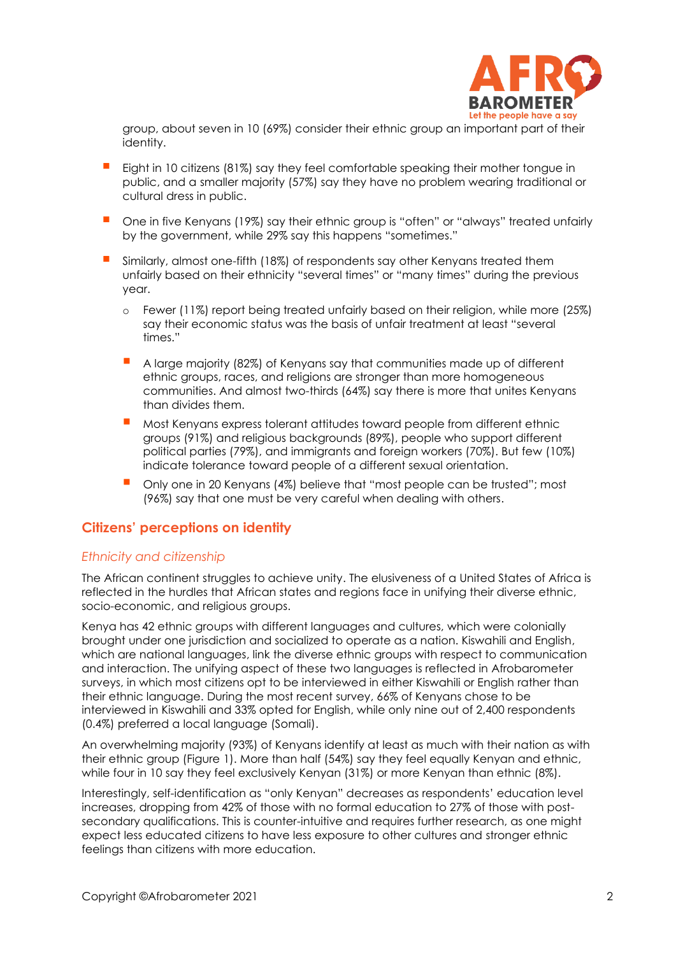

group, about seven in 10 (69%) consider their ethnic group an important part of their identity.

- Eight in 10 citizens (81%) say they feel comfortable speaking their mother tongue in public, and a smaller majority (57%) say they have no problem wearing traditional or cultural dress in public.
- One in five Kenyans (19%) say their ethnic group is "often" or "always" treated unfairly by the government, while 29% say this happens "sometimes."
- **E** Similarly, almost one-fifth (18%) of respondents say other Kenyans treated them unfairly based on their ethnicity "several times" or "many times" during the previous year.
	- o Fewer (11%) report being treated unfairly based on their religion, while more (25%) say their economic status was the basis of unfair treatment at least "several times."
	- A large majority (82%) of Kenyans say that communities made up of different ethnic groups, races, and religions are stronger than more homogeneous communities. And almost two-thirds (64%) say there is more that unites Kenyans than divides them.
	- Most Kenyans express tolerant attitudes toward people from different ethnic groups (91%) and religious backgrounds (89%), people who support different political parties (79%), and immigrants and foreign workers (70%). But few (10%) indicate tolerance toward people of a different sexual orientation.
	- Only one in 20 Kenyans (4%) believe that "most people can be trusted"; most (96%) say that one must be very careful when dealing with others.

## **Citizens' perceptions on identity**

#### *Ethnicity and citizenship*

The African continent struggles to achieve unity. The elusiveness of a United States of Africa is reflected in the hurdles that African states and regions face in unifying their diverse ethnic, socio-economic, and religious groups.

Kenya has 42 ethnic groups with different languages and cultures, which were colonially brought under one jurisdiction and socialized to operate as a nation. Kiswahili and English, which are national languages, link the diverse ethnic groups with respect to communication and interaction. The unifying aspect of these two languages is reflected in Afrobarometer surveys, in which most citizens opt to be interviewed in either Kiswahili or English rather than their ethnic language. During the most recent survey, 66% of Kenyans chose to be interviewed in Kiswahili and 33% opted for English, while only nine out of 2,400 respondents (0.4%) preferred a local language (Somali).

An overwhelming majority (93%) of Kenyans identify at least as much with their nation as with their ethnic group (Figure 1). More than half (54%) say they feel equally Kenyan and ethnic, while four in 10 say they feel exclusively Kenyan (31%) or more Kenyan than ethnic (8%).

Interestingly, self-identification as "only Kenyan" decreases as respondents' education level increases, dropping from 42% of those with no formal education to 27% of those with postsecondary qualifications. This is counter-intuitive and requires further research, as one might expect less educated citizens to have less exposure to other cultures and stronger ethnic feelings than citizens with more education.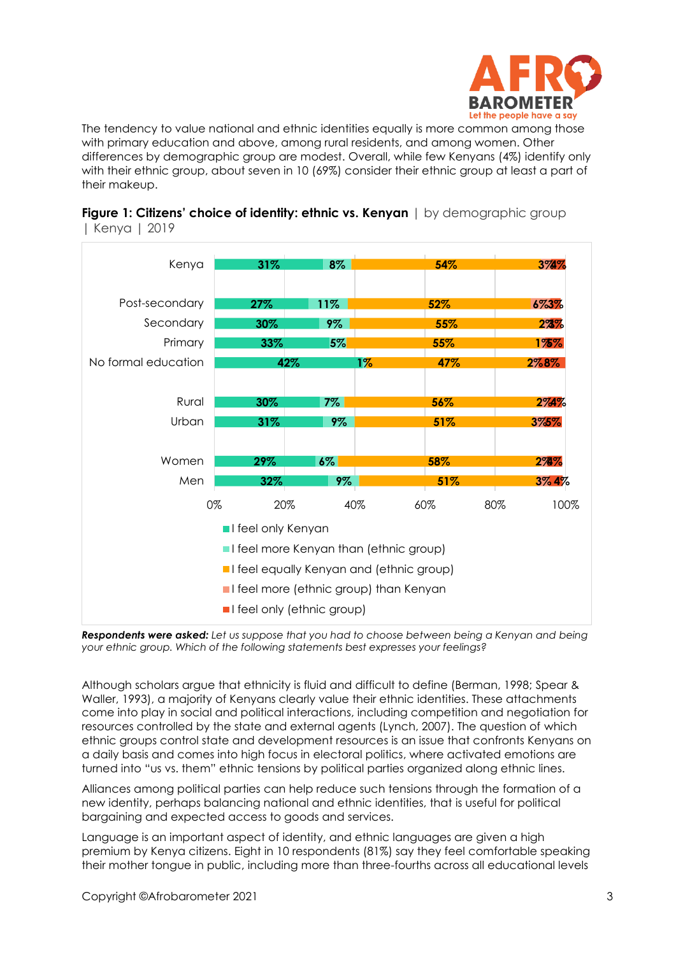

The tendency to value national and ethnic identities equally is more common among those with primary education and above, among rural residents, and among women. Other differences by demographic group are modest. Overall, while few Kenyans (4%) identify only with their ethnic group, about seven in 10 (69%) consider their ethnic group at least a part of their makeup.



#### **Figure 1: Citizens' choice of identity: ethnic vs. Kenyan** | by demographic group | Kenya | 2019

*Respondents were asked: Let us suppose that you had to choose between being a Kenyan and being your ethnic group. Which of the following statements best expresses your feelings?* 

Although scholars argue that ethnicity is fluid and difficult to define (Berman, 1998; Spear & Waller, 1993), a majority of Kenyans clearly value their ethnic identities. These attachments come into play in social and political interactions, including competition and negotiation for resources controlled by the state and external agents (Lynch, 2007). The question of which ethnic groups control state and development resources is an issue that confronts Kenyans on a daily basis and comes into high focus in electoral politics, where activated emotions are turned into "us vs. them" ethnic tensions by political parties organized along ethnic lines.

Alliances among political parties can help reduce such tensions through the formation of a new identity, perhaps balancing national and ethnic identities, that is useful for political bargaining and expected access to goods and services.

Language is an important aspect of identity, and ethnic languages are given a high premium by Kenya citizens. Eight in 10 respondents (81%) say they feel comfortable speaking their mother tongue in public, including more than three-fourths across all educational levels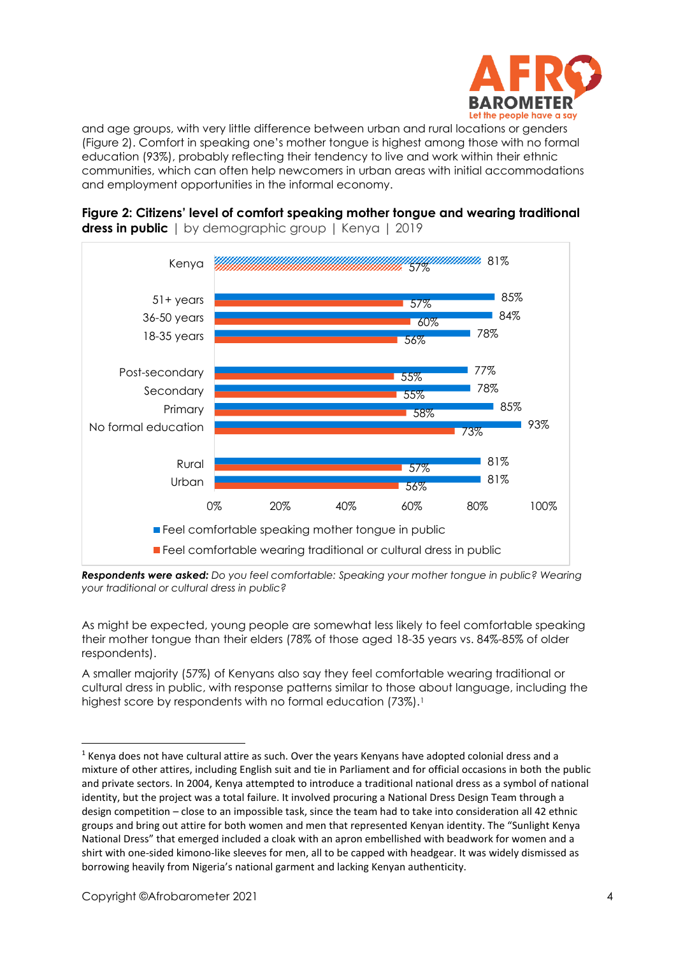

and age groups, with very little difference between urban and rural locations or genders (Figure 2). Comfort in speaking one's mother tongue is highest among those with no formal education (93%), probably reflecting their tendency to live and work within their ethnic communities, which can often help newcomers in urban areas with initial accommodations and employment opportunities in the informal economy.



**Figure 2: Citizens' level of comfort speaking mother tongue and wearing traditional dress in public** | by demographic group | Kenya | 2019

*Respondents were asked: Do you feel comfortable: Speaking your mother tongue in public? Wearing your traditional or cultural dress in public?*

As might be expected, young people are somewhat less likely to feel comfortable speaking their mother tongue than their elders (78% of those aged 18-35 years vs. 84%-85% of older respondents).

A smaller majority (57%) of Kenyans also say they feel comfortable wearing traditional or cultural dress in public, with response patterns similar to those about language, including the highest score by respondents with no formal education (73%).<sup>1</sup>

 $1$  Kenya does not have cultural attire as such. Over the years Kenyans have adopted colonial dress and a mixture of other attires, including English suit and tie in Parliament and for official occasions in both the public and private sectors. In 2004, Kenya attempted to introduce a traditional national dress as a symbol of national identity, but the project was a total failure. It involved procuring a National Dress Design Team through a design competition – close to an impossible task, since the team had to take into consideration all 42 ethnic groups and bring out attire for both women and men that represented Kenyan identity. The "Sunlight Kenya National Dress" that emerged included a cloak with an apron embellished with beadwork for women and a shirt with one-sided kimono-like sleeves for men, all to be capped with headgear. It was widely dismissed as borrowing heavily from Nigeria's national garment and lacking Kenyan authenticity.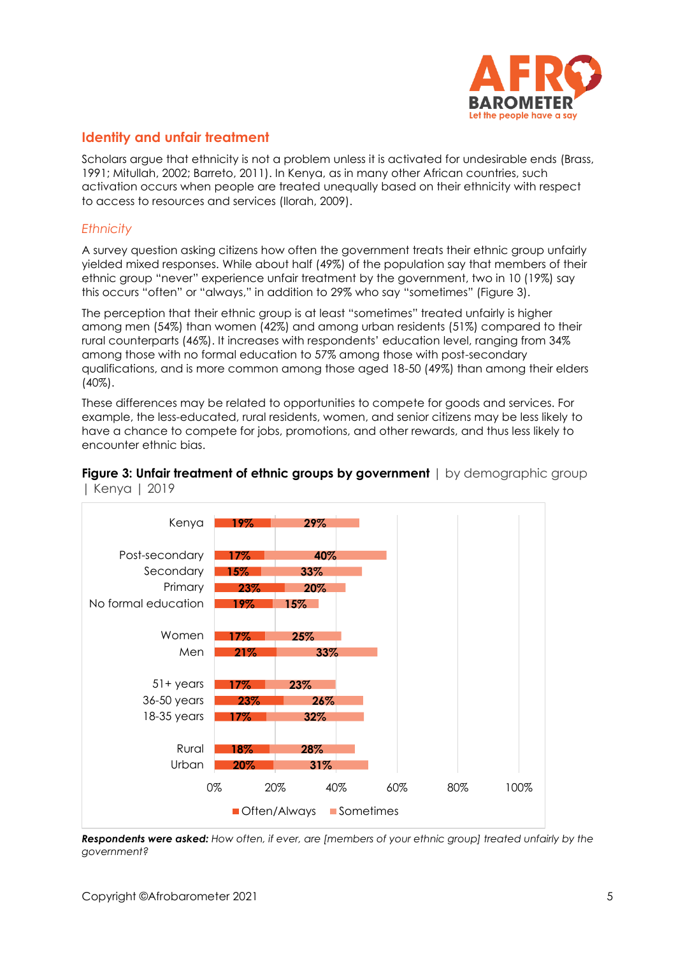

## **Identity and unfair treatment**

Scholars arque that ethnicity is not a problem unless it is activated for undesirable ends (Brass, 1991; Mitullah, 2002; Barreto, 2011). In Kenya, as in many other African countries, such activation occurs when people are treated unequally based on their ethnicity with respect to access to resources and services (Ilorah, 2009).

#### *Ethnicity*

A survey question asking citizens how often the government treats their ethnic group unfairly yielded mixed responses. While about half (49%) of the population say that members of their ethnic group "never" experience unfair treatment by the government, two in 10 (19%) say this occurs "often" or "always," in addition to 29% who say "sometimes" (Figure 3).

The perception that their ethnic group is at least "sometimes" treated unfairly is higher among men (54%) than women (42%) and among urban residents (51%) compared to their rural counterparts (46%). It increases with respondents' education level, ranging from 34% among those with no formal education to 57% among those with post-secondary qualifications, and is more common among those aged 18-50 (49%) than among their elders (40%).

These differences may be related to opportunities to compete for goods and services. For example, the less-educated, rural residents, women, and senior citizens may be less likely to have a chance to compete for jobs, promotions, and other rewards, and thus less likely to encounter ethnic bias.



#### **Figure 3: Unfair treatment of ethnic groups by government** | by demographic group | Kenya | 2019

*Respondents were asked: How often, if ever, are [members of your ethnic group] treated unfairly by the government?*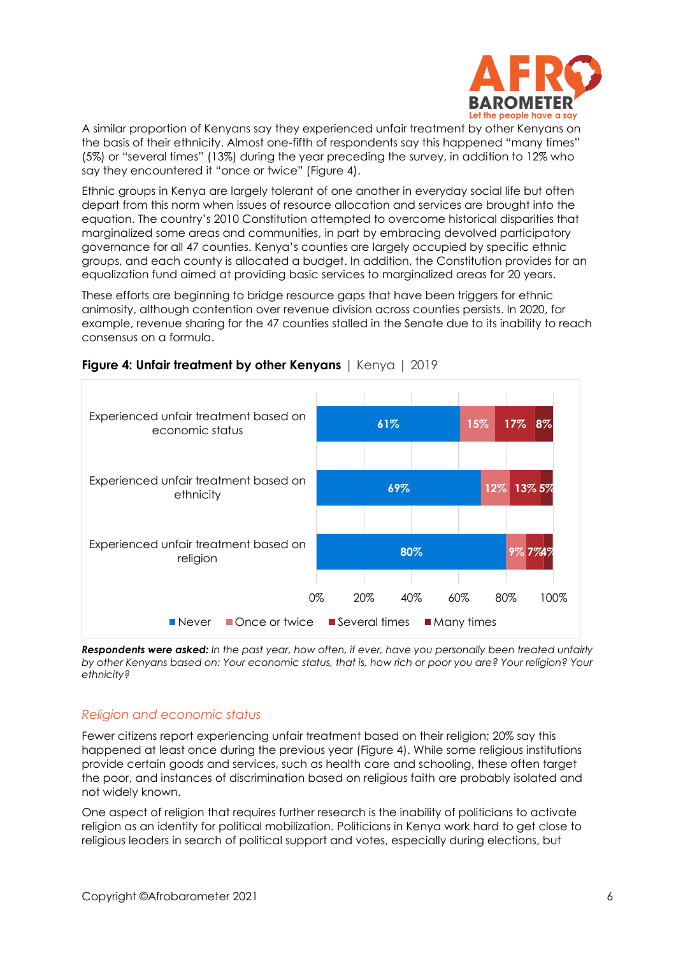

A similar proportion of Kenyans say they experienced unfair treatment by other Kenyans on the basis of their ethnicity. Almost one-fifth of respondents say this happened "many times" (5%) or "several times" (13%) during the year preceding the survey, in addition to 12% who say they encountered it "once or twice" (Figure 4).

Ethnic groups in Kenya are largely tolerant of one another in everyday social life but often depart from this norm when issues of resource allocation and services are brought into the equation. The country's 2010 Constitution attempted to overcome historical disparities that marginalized some areas and communities, in part by embracing devolved participatory governance for all 47 counties. Kenya's counties are largely occupied by specific ethnic groups, and each county is allocated a budget. In addition, the Constitution provides for an equalization fund aimed at providing basic services to marginalized areas for 20 years.

These efforts are beginning to bridge resource gaps that have been triggers for ethnic animosity, although contention over revenue division across counties persists. In 2020, for example, revenue sharing for the 47 counties stalled in the Senate due to its inability to reach consensus on a formula.



**Figure 4: Unfair treatment by other Kenyans** | Kenya | 2019

*Respondents were asked: In the past year, how often, if ever, have you personally been treated unfairly by other Kenyans based on: Your economic status, that is, how rich or poor you are? Your religion? Your ethnicity?*

# *Religion and economic status*

Fewer citizens report experiencing unfair treatment based on their religion; 20% say this happened at least once during the previous year (Figure 4). While some religious institutions provide certain goods and services, such as health care and schooling, these often target the poor, and instances of discrimination based on religious faith are probably isolated and not widely known.

One aspect of religion that requires further research is the inability of politicians to activate religion as an identity for political mobilization. Politicians in Kenya work hard to get close to religious leaders in search of political support and votes, especially during elections, but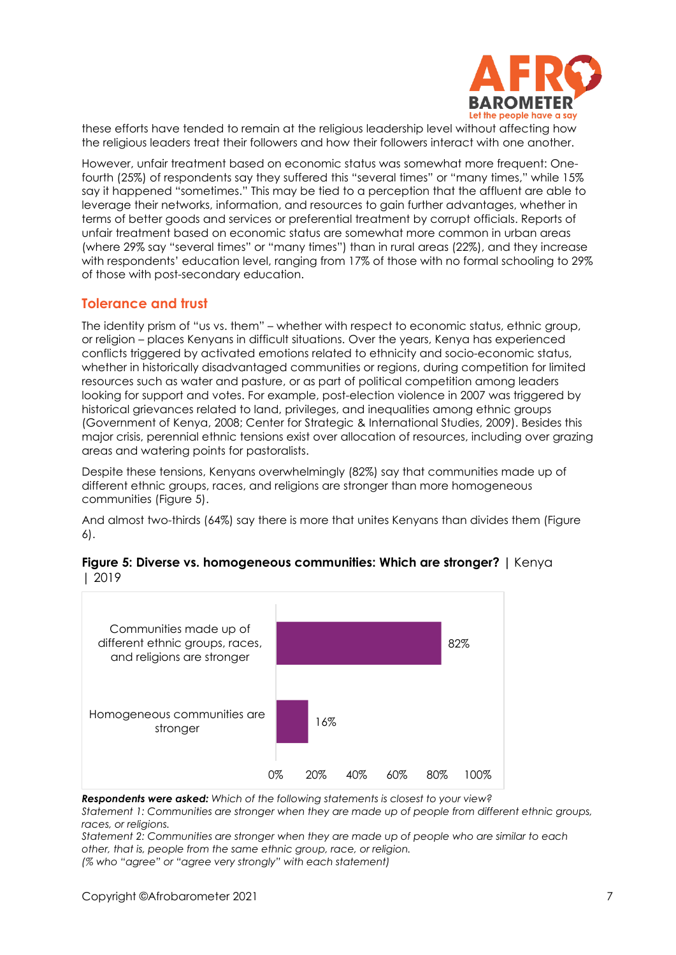

these efforts have tended to remain at the religious leadership level without affecting how the religious leaders treat their followers and how their followers interact with one another.

However, unfair treatment based on economic status was somewhat more frequent: Onefourth (25%) of respondents say they suffered this "several times" or "many times," while 15% say it happened "sometimes." This may be tied to a perception that the affluent are able to leverage their networks, information, and resources to gain further advantages, whether in terms of better goods and services or preferential treatment by corrupt officials. Reports of unfair treatment based on economic status are somewhat more common in urban areas (where 29% say "several times" or "many times") than in rural areas (22%), and they increase with respondents' education level, ranging from 17% of those with no formal schooling to 29% of those with post-secondary education.

#### **Tolerance and trust**

The identity prism of "us vs. them" – whether with respect to economic status, ethnic group, or religion – places Kenyans in difficult situations. Over the years, Kenya has experienced conflicts triggered by activated emotions related to ethnicity and socio-economic status, whether in historically disadvantaged communities or regions, during competition for limited resources such as water and pasture, or as part of political competition among leaders looking for support and votes. For example, post-election violence in 2007 was triggered by historical grievances related to land, privileges, and inequalities among ethnic groups (Government of Kenya, 2008; Center for Strategic & International Studies, 2009). Besides this major crisis, perennial ethnic tensions exist over allocation of resources, including over grazing areas and watering points for pastoralists.

Despite these tensions, Kenyans overwhelmingly (82%) say that communities made up of different ethnic groups, races, and religions are stronger than more homogeneous communities (Figure 5).

And almost two-thirds (64%) say there is more that unites Kenyans than divides them (Figure 6).



#### **Figure 5: Diverse vs. homogeneous communities: Which are stronger? |** Kenya | 2019

*Respondents were asked: Which of the following statements is closest to your view?*

*Statement 1: Communities are stronger when they are made up of people from different ethnic groups, races, or religions.* 

*Statement 2: Communities are stronger when they are made up of people who are similar to each other, that is, people from the same ethnic group, race, or religion. (% who "agree" or "agree very strongly" with each statement)*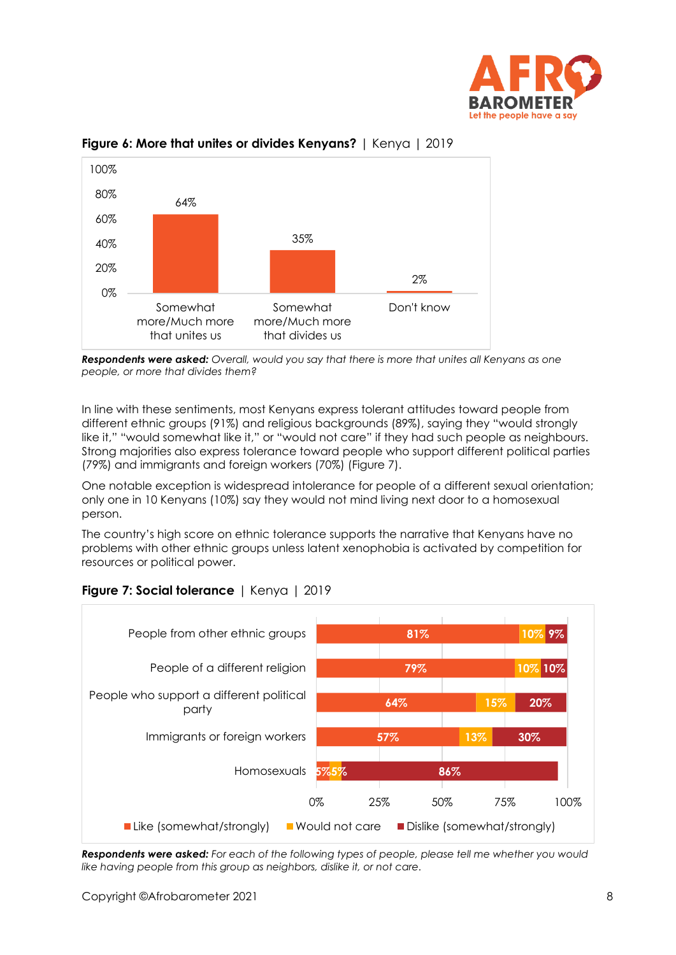



**Figure 6: More that unites or divides Kenyans?** | Kenya | 2019

*Respondents were asked: Overall, would you say that there is more that unites all Kenyans as one people, or more that divides them?*

In line with these sentiments, most Kenyans express tolerant attitudes toward people from different ethnic groups (91%) and religious backgrounds (89%), saying they "would strongly like it," "would somewhat like it," or "would not care" if they had such people as neighbours. Strong majorities also express tolerance toward people who support different political parties (79%) and immigrants and foreign workers (70%) (Figure 7).

One notable exception is widespread intolerance for people of a different sexual orientation; only one in 10 Kenyans (10%) say they would not mind living next door to a homosexual person.

The country's high score on ethnic tolerance supports the narrative that Kenyans have no problems with other ethnic groups unless latent xenophobia is activated by competition for resources or political power.

![](_page_7_Figure_7.jpeg)

# **Figure 7: Social tolerance** | Kenya | 2019

*Respondents were asked: For each of the following types of people, please tell me whether you would like having people from this group as neighbors, dislike it, or not care.*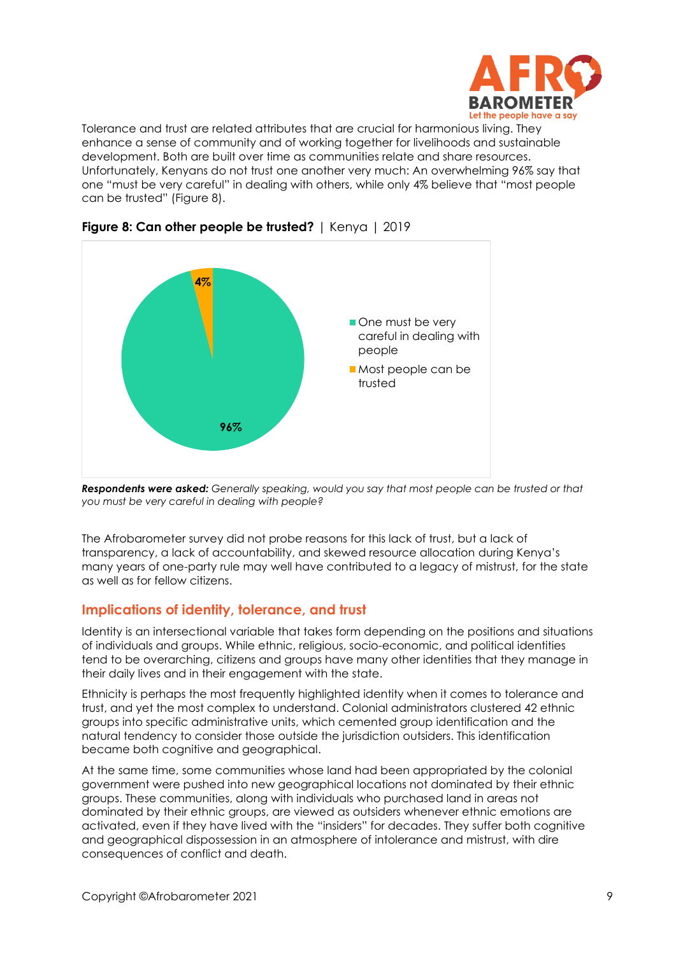![](_page_8_Picture_0.jpeg)

Tolerance and trust are related attributes that are crucial for harmonious living. They enhance a sense of community and of working together for livelihoods and sustainable development. Both are built over time as communities relate and share resources. Unfortunately, Kenyans do not trust one another very much: An overwhelming 96% say that one "must be very careful" in dealing with others, while only 4% believe that "most people can be trusted" (Figure 8).

![](_page_8_Figure_2.jpeg)

**Figure 8: Can other people be trusted?** | Kenya | 2019

*Respondents were asked: Generally speaking, would you say that most people can be trusted or that you must be very careful in dealing with people?*

The Afrobarometer survey did not probe reasons for this lack of trust, but a lack of transparency, a lack of accountability, and skewed resource allocation during Kenya's many years of one-party rule may well have contributed to a legacy of mistrust, for the state as well as for fellow citizens.

# **Implications of identity, tolerance, and trust**

Identity is an intersectional variable that takes form depending on the positions and situations of individuals and groups. While ethnic, religious, socio-economic, and political identities tend to be overarching, citizens and groups have many other identities that they manage in their daily lives and in their engagement with the state.

Ethnicity is perhaps the most frequently highlighted identity when it comes to tolerance and trust, and yet the most complex to understand. Colonial administrators clustered 42 ethnic groups into specific administrative units, which cemented group identification and the natural tendency to consider those outside the jurisdiction outsiders. This identification became both cognitive and geographical.

At the same time, some communities whose land had been appropriated by the colonial government were pushed into new geographical locations not dominated by their ethnic groups. These communities, along with individuals who purchased land in areas not dominated by their ethnic groups, are viewed as outsiders whenever ethnic emotions are activated, even if they have lived with the "insiders" for decades. They suffer both cognitive and geographical dispossession in an atmosphere of intolerance and mistrust, with dire consequences of conflict and death.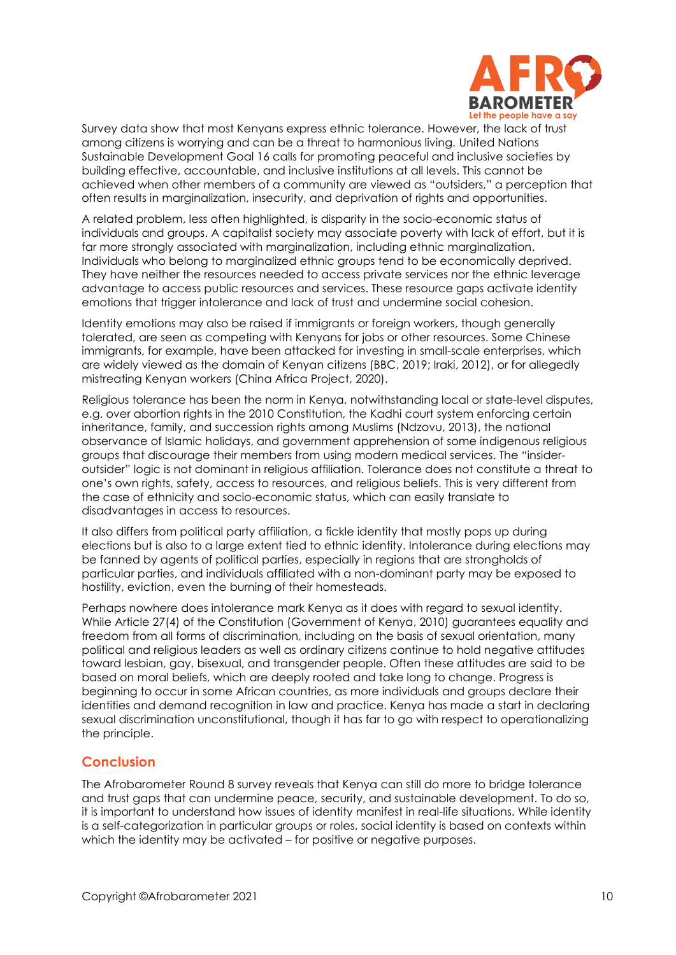![](_page_9_Picture_0.jpeg)

Survey data show that most Kenyans express ethnic tolerance. However, the lack of trust among citizens is worrying and can be a threat to harmonious living. United Nations Sustainable Development Goal 16 calls for promoting peaceful and inclusive societies by building effective, accountable, and inclusive institutions at all levels. This cannot be achieved when other members of a community are viewed as "outsiders," a perception that often results in marginalization, insecurity, and deprivation of rights and opportunities.

A related problem, less often highlighted, is disparity in the socio-economic status of individuals and groups. A capitalist society may associate poverty with lack of effort, but it is far more strongly associated with marginalization, including ethnic marginalization. Individuals who belong to marginalized ethnic groups tend to be economically deprived. They have neither the resources needed to access private services nor the ethnic leverage advantage to access public resources and services. These resource gaps activate identity emotions that trigger intolerance and lack of trust and undermine social cohesion.

Identity emotions may also be raised if immigrants or foreign workers, though generally tolerated, are seen as competing with Kenyans for jobs or other resources. Some Chinese immigrants, for example, have been attacked for investing in small-scale enterprises, which are widely viewed as the domain of Kenyan citizens (BBC, 2019; Iraki, 2012), or for allegedly mistreating Kenyan workers (China Africa Project, 2020).

Religious tolerance has been the norm in Kenya, notwithstanding local or state-level disputes, e.g. over abortion rights in the 2010 Constitution, the Kadhi court system enforcing certain inheritance, family, and succession rights among Muslims (Ndzovu, 2013), the national observance of Islamic holidays, and government apprehension of some indigenous religious groups that discourage their members from using modern medical services. The "insideroutsider" logic is not dominant in religious affiliation. Tolerance does not constitute a threat to one's own rights, safety, access to resources, and religious beliefs. This is very different from the case of ethnicity and socio-economic status, which can easily translate to disadvantages in access to resources.

It also differs from political party affiliation, a fickle identity that mostly pops up during elections but is also to a large extent tied to ethnic identity. Intolerance during elections may be fanned by agents of political parties, especially in regions that are strongholds of particular parties, and individuals affiliated with a non-dominant party may be exposed to hostility, eviction, even the burning of their homesteads.

Perhaps nowhere does intolerance mark Kenya as it does with regard to sexual identity. While Article 27(4) of the Constitution (Government of Kenya, 2010) guarantees equality and freedom from all forms of discrimination, including on the basis of sexual orientation, many political and religious leaders as well as ordinary citizens continue to hold negative attitudes toward lesbian, gay, bisexual, and transgender people. Often these attitudes are said to be based on moral beliefs, which are deeply rooted and take long to change. Progress is beginning to occur in some African countries, as more individuals and groups declare their identities and demand recognition in law and practice. Kenya has made a start in declaring sexual discrimination unconstitutional, though it has far to go with respect to operationalizing the principle.

## **Conclusion**

The Afrobarometer Round 8 survey reveals that Kenya can still do more to bridge tolerance and trust gaps that can undermine peace, security, and sustainable development. To do so, it is important to understand how issues of identity manifest in real-life situations. While identity is a self-categorization in particular groups or roles, social identity is based on contexts within which the identity may be activated – for positive or negative purposes.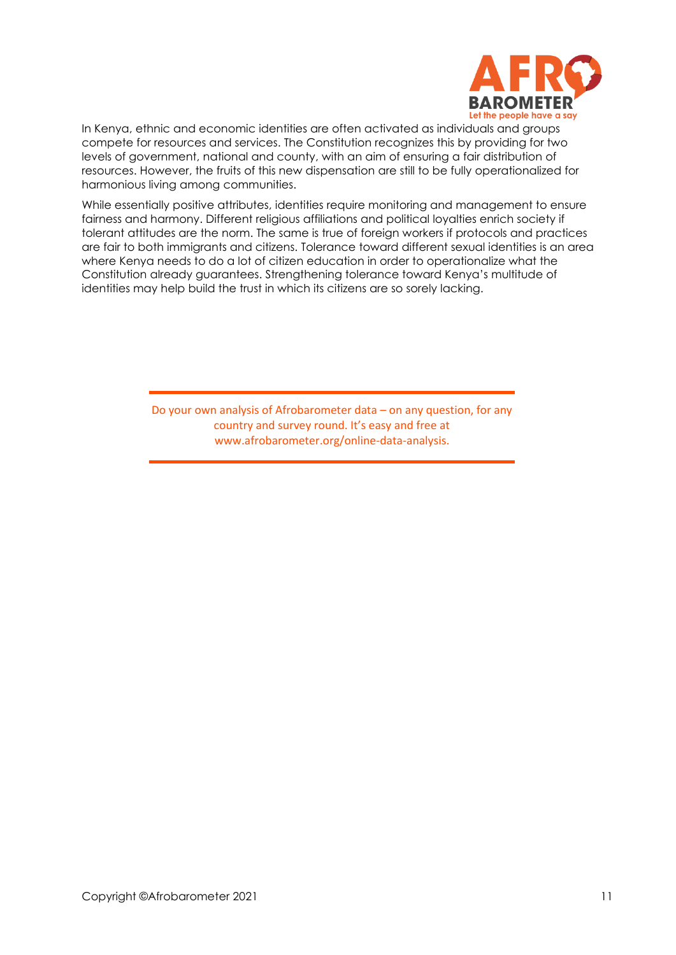![](_page_10_Picture_0.jpeg)

In Kenya, ethnic and economic identities are often activated as individuals and groups compete for resources and services. The Constitution recognizes this by providing for two levels of government, national and county, with an aim of ensuring a fair distribution of resources. However, the fruits of this new dispensation are still to be fully operationalized for harmonious living among communities.

While essentially positive attributes, identities require monitoring and management to ensure fairness and harmony. Different religious affiliations and political loyalties enrich society if tolerant attitudes are the norm. The same is true of foreign workers if protocols and practices are fair to both immigrants and citizens. Tolerance toward different sexual identities is an area where Kenya needs to do a lot of citizen education in order to operationalize what the Constitution already guarantees. Strengthening tolerance toward Kenya's multitude of identities may help build the trust in which its citizens are so sorely lacking.

> Do your own analysis of Afrobarometer data – on any question, for any country and survey round. It's easy and free at www.afrobarometer.org/online-data-analysis.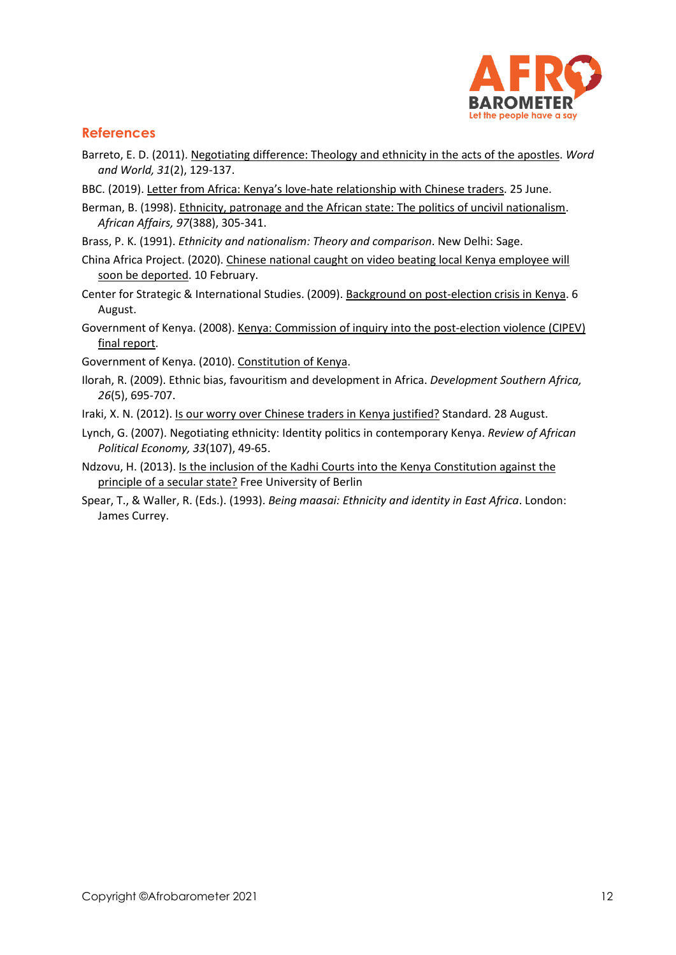![](_page_11_Picture_0.jpeg)

## **References**

- Barreto, E. D. (2011). [Negotiating difference: Theology and ethnicity in the acts of the apostles.](https://wordandworld.luthersem.edu/content/pdfs/31-2_Slavery_and_Race/31-2_Barreto.pdf) *Word and World, 31*(2), 129-137.
- BBC. (2019). [Letter from Africa: Kenya's](http://bbc.com/news/world-africa-48743876) love-hate relationship with Chinese traders. 25 June.
- Berman, B. (1998). [Ethnicity, patronage and the African state: The politics of uncivil nationalism.](https://www.jstor.org/stable/723213?seq=1) *African Affairs, 97*(388), 305-341.
- Brass, P. K. (1991). *Ethnicity and nationalism: Theory and comparison*. New Delhi: Sage.
- China Africa Project. (2020). [Chinese national caught on video beating local Kenya employee will](https://chinaafricaproject.com/2020/02/10/Chinese-national-caught-on-video-beating-local-kenyan-employee-will-soon-be-deported)  soon be [deported.](https://chinaafricaproject.com/2020/02/10/Chinese-national-caught-on-video-beating-local-kenyan-employee-will-soon-be-deported) 10 February.
- Center for Strategic & International Studies. (2009)[. Background on post-election crisis in Kenya.](http://csis.org/blogs/smart-global-health-background-post-election-crisis-kenya) 6 August.
- Government of Kenya. (2008)[. Kenya: Commission of inquiry into the post-election violence \(CIPEV\)](https://reliefweb.int/report/kenya/kenya-commission-inquiry-post-election-violence-cipev-final-report) [final report.](https://reliefweb.int/report/kenya/kenya-commission-inquiry-post-election-violence-cipev-final-report)
- Government of Kenya. (2010). [Constitution](http://www.kenyalaw.org:8181/exist/kenyalex/actview.xql?actid=Const2010) of Kenya.
- Ilorah, R. (2009). Ethnic bias, favouritism and development in Africa. *Development Southern Africa, 26*(5), 695-707.
- Iraki, X. N. (2012). [Is our worry over Chinese traders in Kenya justified?](file:///C:/Users/BrianHoward/Documents/Afrobarometer/Edit/Kenya/R8/Dispatch%20on%20identity%20and%20tolerance-aug20/Iraki,%20X.%20N.%20(2012).%20Is%20our%20worry%20over%20Chinese%20traders%20in%20Kenya%20justified%3f) Standard. 28 August.
- Lynch, G. (2007). Negotiating ethnicity: Identity politics in contemporary Kenya. *Review of African Political Economy, 33*(107), 49-65.
- Ndzovu, H. (2013)[. Is the inclusion of the Kadhi Courts into the Kenya Constitution against the](http://dx.doi.org/10.2139/ssrn.2327775)  [principle of a secular state?](http://dx.doi.org/10.2139/ssrn.2327775) Free University of Berlin
- Spear, T., & Waller, R. (Eds.). (1993). *Being maasai: Ethnicity and identity in East Africa*. London: James Currey.